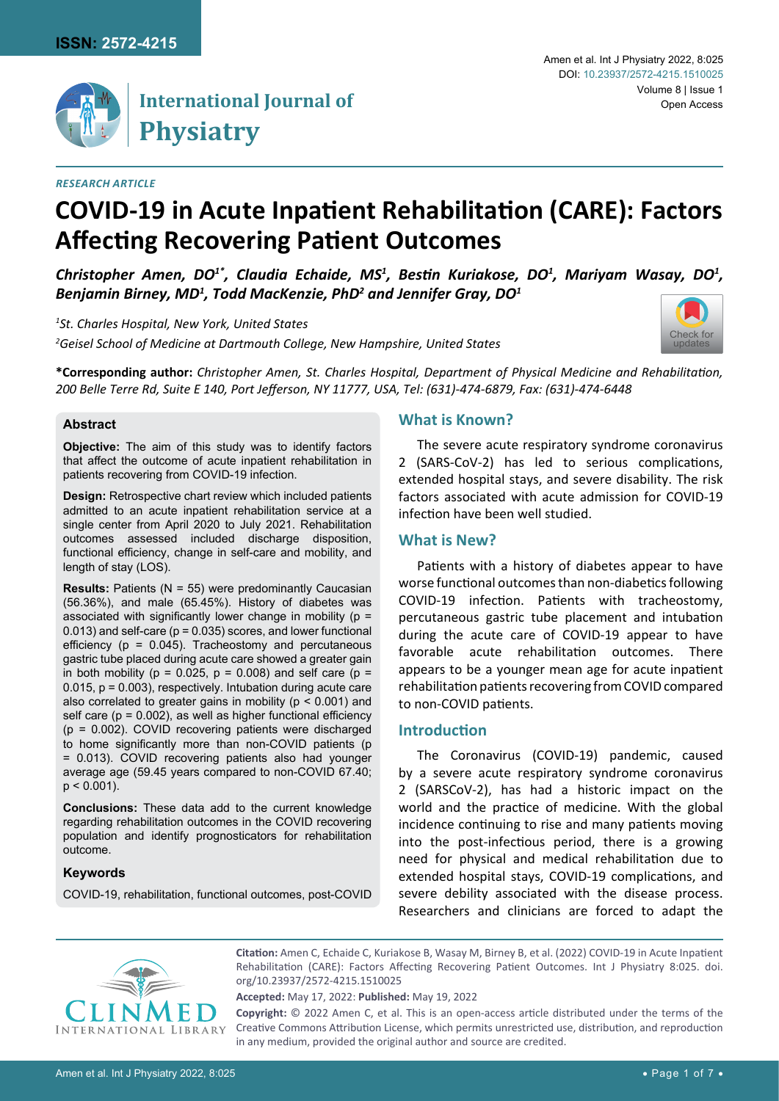

# **International Journal of Physiatry**

#### *Research Article*

#### Amen et al. Int J Physiatry 2022, 8:025 Volume 8 | Issue 1 DOI: [10.23937/2572-4215.1510025](https://doi.org/10.23937/2572-4215.1510025) Open Access

# **COVID-19 in Acute Inpatient Rehabilitation (CARE): Factors Affecting Recovering Patient Outcomes**

Christopher Amen, DO<sup>1\*</sup>, Claudia Echaide, MS<sup>1</sup>, Bestin Kuriakose, DO<sup>1</sup>, Mariyam Wasay, DO<sup>1</sup>, *Benjamin Birney, MD1 , Todd MacKenzie, PhD<sup>2</sup> and Jennifer Gray, DO1*

*1 St. Charles Hospital, New York, United States 2 Geisel School of Medicine at Dartmouth College, New Hampshire, United States*



**\*Corresponding author:** *Christopher Amen, St. Charles Hospital, Department of Physical Medicine and Rehabilitation, 200 Belle Terre Rd, Suite E 140, Port Jefferson, NY 11777, USA, Tel: (631)-474-6879, Fax: (631)-474-6448*

### **Abstract**

**Objective:** The aim of this study was to identify factors that affect the outcome of acute inpatient rehabilitation in patients recovering from COVID-19 infection.

**Design:** Retrospective chart review which included patients admitted to an acute inpatient rehabilitation service at a single center from April 2020 to July 2021. Rehabilitation outcomes assessed included discharge disposition, functional efficiency, change in self-care and mobility, and length of stay (LOS).

**Results:** Patients (N = 55) were predominantly Caucasian (56.36%), and male (65.45%). History of diabetes was associated with significantly lower change in mobility (p =  $0.013$ ) and self-care ( $p = 0.035$ ) scores, and lower functional efficiency ( $p = 0.045$ ). Tracheostomy and percutaneous gastric tube placed during acute care showed a greater gain in both mobility ( $p = 0.025$ ,  $p = 0.008$ ) and self care ( $p =$ 0.015, p = 0.003), respectively. Intubation during acute care also correlated to greater gains in mobility (p < 0.001) and self care ( $p = 0.002$ ), as well as higher functional efficiency  $(p = 0.002)$ . COVID recovering patients were discharged to home significantly more than non-COVID patients (p = 0.013). COVID recovering patients also had younger average age (59.45 years compared to non-COVID 67.40;  $p < 0.001$ ).

**Conclusions:** These data add to the current knowledge regarding rehabilitation outcomes in the COVID recovering population and identify prognosticators for rehabilitation outcome.

#### **Keywords**

COVID-19, rehabilitation, functional outcomes, post-COVID

# **What is Known?**

The severe acute respiratory syndrome coronavirus 2 (SARS-CoV-2) has led to serious complications, extended hospital stays, and severe disability. The risk factors associated with acute admission for COVID-19 infection have been well studied.

# **What is New?**

Patients with a history of diabetes appear to have worse functional outcomes than non-diabetics following COVID-19 infection. Patients with tracheostomy, percutaneous gastric tube placement and intubation during the acute care of COVID-19 appear to have favorable acute rehabilitation outcomes. There appears to be a younger mean age for acute inpatient rehabilitation patients recovering from COVID compared to non-COVID patients.

# **Introduction**

The Coronavirus (COVID-19) pandemic, caused by a severe acute respiratory syndrome coronavirus 2 (SARSCoV-2), has had a historic impact on the world and the practice of medicine. With the global incidence continuing to rise and many patients moving into the post-infectious period, there is a growing need for physical and medical rehabilitation due to extended hospital stays, COVID-19 complications, and severe debility associated with the disease process. Researchers and clinicians are forced to adapt the



**Citation:** Amen C, Echaide C, Kuriakose B, Wasay M, Birney B, et al. (2022) COVID-19 in Acute Inpatient Rehabilitation (CARE): Factors Affecting Recovering Patient Outcomes. Int J Physiatry 8:025. [doi.](https://doi.org/10.23937/2572-4215.1510025) [org/10.23937/2572-4215.1510025](https://doi.org/10.23937/2572-4215.1510025)

**Accepted:** May 17, 2022: **Published:** May 19, 2022

**Copyright:** © 2022 Amen C, et al. This is an open-access article distributed under the terms of the Creative Commons Attribution License, which permits unrestricted use, distribution, and reproduction in any medium, provided the original author and source are credited.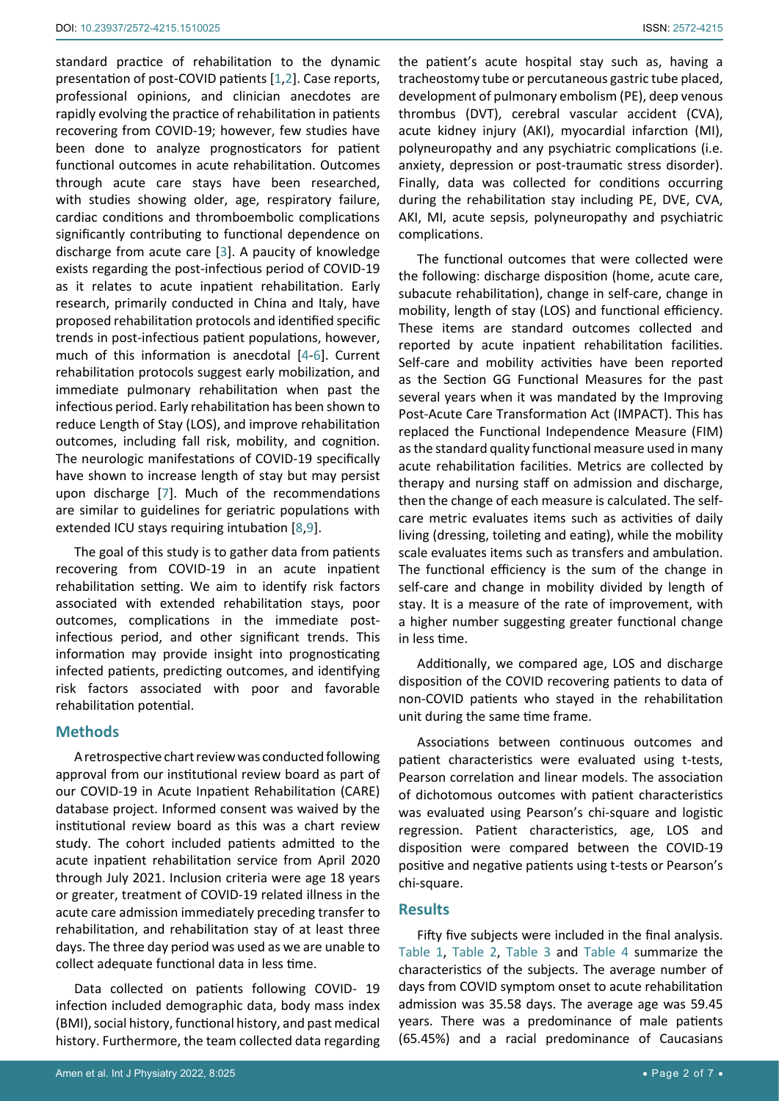standard practice of rehabilitation to the dynamic presentation of post-COVID patients [[1](#page-6-0),[2\]](#page-6-1). Case reports, professional opinions, and clinician anecdotes are rapidly evolving the practice of rehabilitation in patients recovering from COVID-19; however, few studies have been done to analyze prognosticators for patient functional outcomes in acute rehabilitation. Outcomes through acute care stays have been researched, with studies showing older, age, respiratory failure, cardiac conditions and thromboembolic complications significantly contributing to functional dependence on discharge from acute care [\[3\]](#page-6-2). A paucity of knowledge exists regarding the post-infectious period of COVID-19 as it relates to acute inpatient rehabilitation. Early research, primarily conducted in China and Italy, have proposed rehabilitation protocols and identified specific trends in post-infectious patient populations, however, much of this information is anecdotal [[4](#page-6-3)-[6](#page-6-4)]. Current rehabilitation protocols suggest early mobilization, and immediate pulmonary rehabilitation when past the infectious period. Early rehabilitation has been shown to reduce Length of Stay (LOS), and improve rehabilitation outcomes, including fall risk, mobility, and cognition. The neurologic manifestations of COVID-19 specifically have shown to increase length of stay but may persist upon discharge [[7](#page-6-5)]. Much of the recommendations are similar to guidelines for geriatric populations with extended ICU stays requiring intubation [[8](#page-6-6)[,9\]](#page-6-7).

The goal of this study is to gather data from patients recovering from COVID-19 in an acute inpatient rehabilitation setting. We aim to identify risk factors associated with extended rehabilitation stays, poor outcomes, complications in the immediate postinfectious period, and other significant trends. This information may provide insight into prognosticating infected patients, predicting outcomes, and identifying risk factors associated with poor and favorable rehabilitation potential.

#### **Methods**

A retrospective chart review was conducted following approval from our institutional review board as part of our COVID-19 in Acute Inpatient Rehabilitation (CARE) database project. Informed consent was waived by the institutional review board as this was a chart review study. The cohort included patients admitted to the acute inpatient rehabilitation service from April 2020 through July 2021. Inclusion criteria were age 18 years or greater, treatment of COVID-19 related illness in the acute care admission immediately preceding transfer to rehabilitation, and rehabilitation stay of at least three days. The three day period was used as we are unable to collect adequate functional data in less time.

Data collected on patients following COVID- 19 infection included demographic data, body mass index (BMI), social history, functional history, and past medical history. Furthermore, the team collected data regarding the patient's acute hospital stay such as, having a tracheostomy tube or percutaneous gastric tube placed, development of pulmonary embolism (PE), deep venous thrombus (DVT), cerebral vascular accident (CVA), acute kidney injury (AKI), myocardial infarction (MI), polyneuropathy and any psychiatric complications (i.e. anxiety, depression or post-traumatic stress disorder). Finally, data was collected for conditions occurring during the rehabilitation stay including PE, DVE, CVA, AKI, MI, acute sepsis, polyneuropathy and psychiatric complications.

The functional outcomes that were collected were the following: discharge disposition (home, acute care, subacute rehabilitation), change in self-care, change in mobility, length of stay (LOS) and functional efficiency. These items are standard outcomes collected and reported by acute inpatient rehabilitation facilities. Self-care and mobility activities have been reported as the Section GG Functional Measures for the past several years when it was mandated by the Improving Post-Acute Care Transformation Act (IMPACT). This has replaced the Functional Independence Measure (FIM) as the standard quality functional measure used in many acute rehabilitation facilities. Metrics are collected by therapy and nursing staff on admission and discharge, then the change of each measure is calculated. The selfcare metric evaluates items such as activities of daily living (dressing, toileting and eating), while the mobility scale evaluates items such as transfers and ambulation. The functional efficiency is the sum of the change in self-care and change in mobility divided by length of stay. It is a measure of the rate of improvement, with a higher number suggesting greater functional change in less time.

Additionally, we compared age, LOS and discharge disposition of the COVID recovering patients to data of non-COVID patients who stayed in the rehabilitation unit during the same time frame.

Associations between continuous outcomes and patient characteristics were evaluated using t-tests, Pearson correlation and linear models. The association of dichotomous outcomes with patient characteristics was evaluated using Pearson's chi-square and logistic regression. Patient characteristics, age, LOS and disposition were compared between the COVID-19 positive and negative patients using t-tests or Pearson's chi-square.

#### **Results**

Fifty five subjects were included in the final analysis. [Table 1,](#page-2-0) [Table 2,](#page-2-1) [Table 3](#page-2-2) and [Table 4](#page-2-3) summarize the characteristics of the subjects. The average number of days from COVID symptom onset to acute rehabilitation admission was 35.58 days. The average age was 59.45 years. There was a predominance of male patients (65.45%) and a racial predominance of Caucasians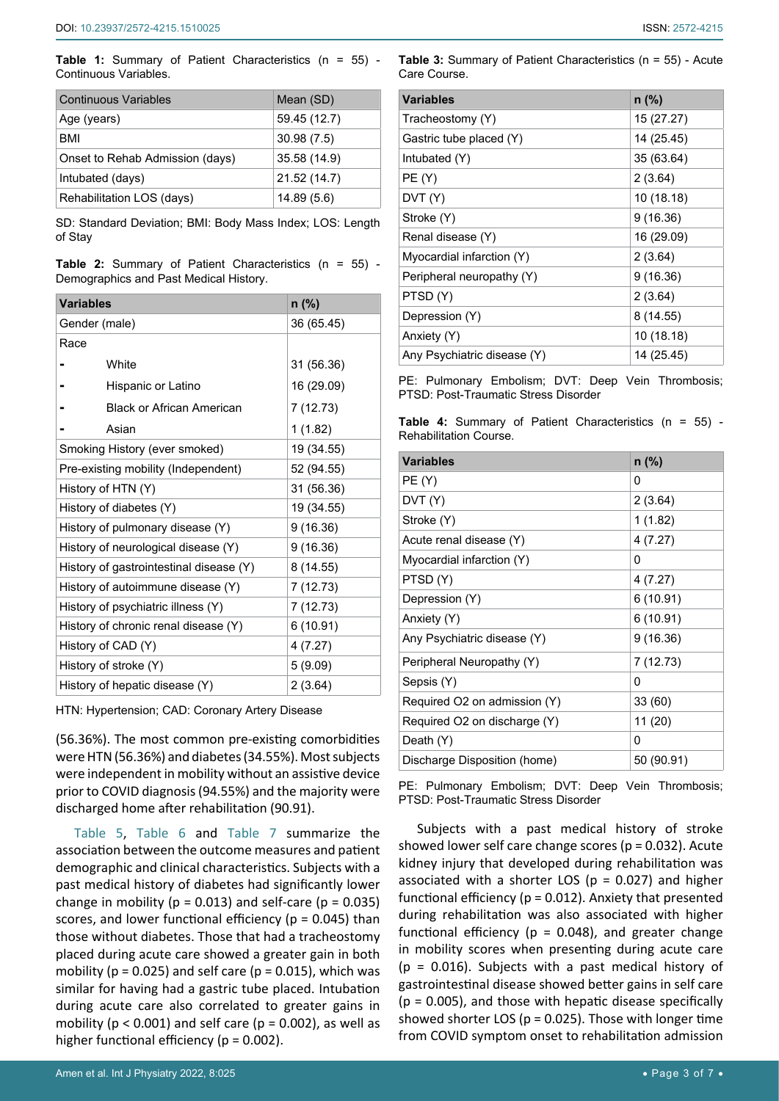<span id="page-2-0"></span>**Table 1:** Summary of Patient Characteristics (n = 55) - Continuous Variables.

| <b>Continuous Variables</b>     | Mean (SD)    |
|---------------------------------|--------------|
| Age (years)                     | 59.45 (12.7) |
| BMI                             | 30.98(7.5)   |
| Onset to Rehab Admission (days) | 35.58 (14.9) |
| Intubated (days)                | 21.52 (14.7) |
| Rehabilitation LOS (days)       | 14.89(5.6)   |

SD: Standard Deviation; BMI: Body Mass Index; LOS: Length of Stay

<span id="page-2-1"></span>

|  |                                        |  | Table 2: Summary of Patient Characteristics (n = 55) - |  |  |
|--|----------------------------------------|--|--------------------------------------------------------|--|--|
|  | Demographics and Past Medical History. |  |                                                        |  |  |

| <b>Variables</b>                        | $n$ (%)    |
|-----------------------------------------|------------|
| Gender (male)                           | 36 (65.45) |
| Race                                    |            |
| White                                   | 31 (56.36) |
| Hispanic or Latino                      | 16 (29.09) |
| <b>Black or African American</b>        | 7 (12.73)  |
| Asian                                   | 1(1.82)    |
| Smoking History (ever smoked)           | 19 (34.55) |
| Pre-existing mobility (Independent)     | 52 (94.55) |
| History of HTN (Y)                      | 31 (56.36) |
| History of diabetes (Y)                 | 19 (34.55) |
| History of pulmonary disease (Y)        | 9(16.36)   |
| History of neurological disease (Y)     | 9(16.36)   |
| History of gastrointestinal disease (Y) | 8 (14.55)  |
| History of autoimmune disease (Y)       | 7(12.73)   |
| History of psychiatric illness (Y)      | 7 (12.73)  |
| History of chronic renal disease (Y)    | 6(10.91)   |
| History of CAD (Y)                      | 4(7.27)    |
| History of stroke (Y)                   | 5(9.09)    |
| History of hepatic disease (Y)          | 2(3.64)    |

HTN: Hypertension; CAD: Coronary Artery Disease

(56.36%). The most common pre-existing comorbidities were HTN (56.36%) and diabetes (34.55%). Most subjects were independent in mobility without an assistive device prior to COVID diagnosis (94.55%) and the majority were discharged home after rehabilitation (90.91).

[Table 5](#page-3-0), [Table 6](#page-3-1) and [Table 7](#page-4-0) summarize the association between the outcome measures and patient demographic and clinical characteristics. Subjects with a past medical history of diabetes had significantly lower change in mobility ( $p = 0.013$ ) and self-care ( $p = 0.035$ ) scores, and lower functional efficiency ( $p = 0.045$ ) than those without diabetes. Those that had a tracheostomy placed during acute care showed a greater gain in both mobility ( $p = 0.025$ ) and self care ( $p = 0.015$ ), which was similar for having had a gastric tube placed. Intubation during acute care also correlated to greater gains in mobility ( $p < 0.001$ ) and self care ( $p = 0.002$ ), as well as higher functional efficiency ( $p = 0.002$ ).

# <span id="page-2-2"></span>**Table 3:** Summary of Patient Characteristics (n = 55) - Acute Care Course.

| <b>Variables</b>            | $n$ (%)    |
|-----------------------------|------------|
| Tracheostomy (Y)            | 15 (27.27) |
| Gastric tube placed (Y)     | 14 (25.45) |
| Intubated (Y)               | 35 (63.64) |
| PE(Y)                       | 2(3.64)    |
| DVT(Y)                      | 10 (18.18) |
| Stroke (Y)                  | 9(16.36)   |
| Renal disease (Y)           | 16 (29.09) |
| Myocardial infarction (Y)   | 2(3.64)    |
| Peripheral neuropathy (Y)   | 9(16.36)   |
| PTSD(Y)                     | 2(3.64)    |
| Depression (Y)              | 8(14.55)   |
| Anxiety (Y)                 | 10 (18.18) |
| Any Psychiatric disease (Y) | 14 (25.45) |

PE: Pulmonary Embolism; DVT: Deep Vein Thrombosis; PTSD: Post-Traumatic Stress Disorder

<span id="page-2-3"></span>**Table 4:** Summary of Patient Characteristics (n = 55) - Rehabilitation Course.

| <b>Variables</b>             | $n$ (%)    |
|------------------------------|------------|
| PE (Y)                       | 0          |
| DVT (Y)                      | 2(3.64)    |
| Stroke (Y)                   | 1(1.82)    |
| Acute renal disease (Y)      | 4(7.27)    |
| Myocardial infarction (Y)    | 0          |
| PTSD(Y)                      | 4 (7.27)   |
| Depression (Y)               | 6(10.91)   |
| Anxiety (Y)                  | 6(10.91)   |
| Any Psychiatric disease (Y)  | 9(16.36)   |
| Peripheral Neuropathy (Y)    | 7 (12.73)  |
| Sepsis (Y)                   | 0          |
| Required O2 on admission (Y) | 33 (60)    |
| Required O2 on discharge (Y) | 11 (20)    |
| Death (Y)                    | 0          |
| Discharge Disposition (home) | 50 (90.91) |

PE: Pulmonary Embolism; DVT: Deep Vein Thrombosis; PTSD: Post-Traumatic Stress Disorder

Subjects with a past medical history of stroke showed lower self care change scores (p = 0.032). Acute kidney injury that developed during rehabilitation was associated with a shorter LOS ( $p = 0.027$ ) and higher functional efficiency (p = 0.012). Anxiety that presented during rehabilitation was also associated with higher functional efficiency ( $p = 0.048$ ), and greater change in mobility scores when presenting during acute care  $(p = 0.016)$ . Subjects with a past medical history of gastrointestinal disease showed better gains in self care  $(p = 0.005)$ , and those with hepatic disease specifically showed shorter LOS ( $p = 0.025$ ). Those with longer time from COVID symptom onset to rehabilitation admission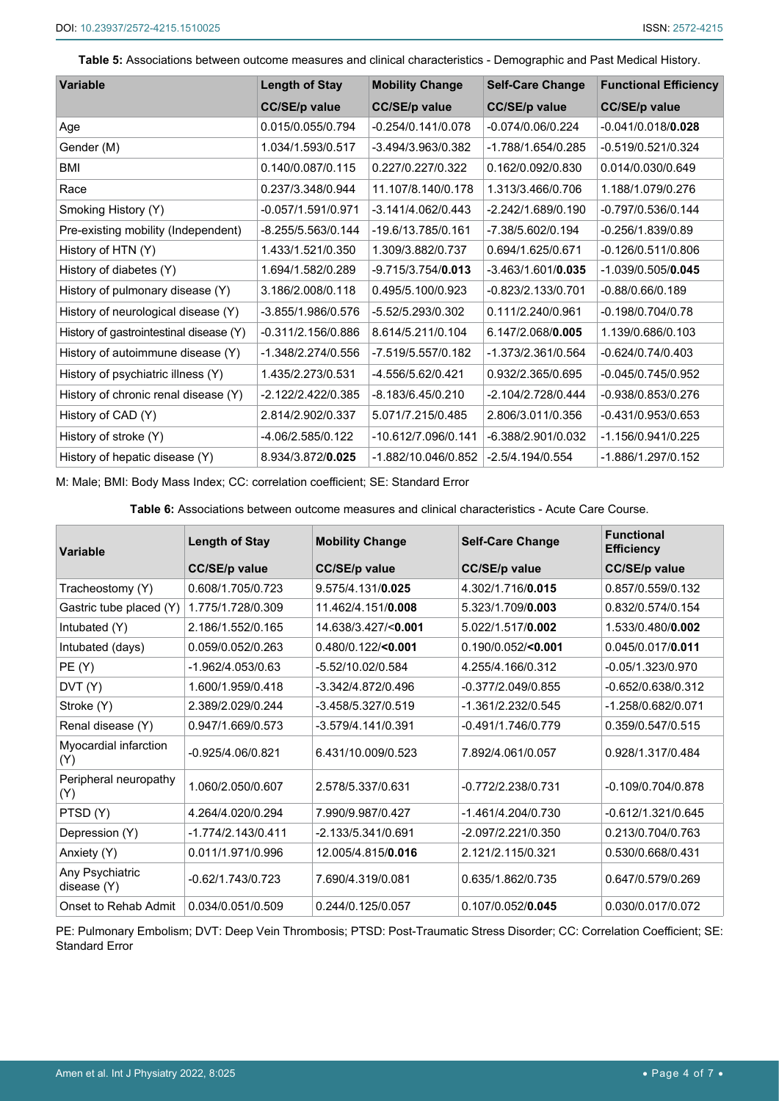<span id="page-3-0"></span>**Table 5:** Associations between outcome measures and clinical characteristics - Demographic and Past Medical History.

| <b>Variable</b>                         | <b>Length of Stay</b> | <b>Mobility Change</b> | <b>Self-Care Change</b> | <b>Functional Efficiency</b> |
|-----------------------------------------|-----------------------|------------------------|-------------------------|------------------------------|
|                                         | <b>CC/SE/p value</b>  | <b>CC/SE/p value</b>   | <b>CC/SE/p value</b>    | <b>CC/SE/p value</b>         |
| Age                                     | 0.015/0.055/0.794     | -0.254/0.141/0.078     | -0.074/0.06/0.224       | $-0.041/0.018/0.028$         |
| Gender (M)                              | 1.034/1.593/0.517     | -3.494/3.963/0.382     | -1.788/1.654/0.285      | -0.519/0.521/0.324           |
| BMI                                     | 0.140/0.087/0.115     | 0.227/0.227/0.322      | 0.162/0.092/0.830       | 0.014/0.030/0.649            |
| Race                                    | 0.237/3.348/0.944     | 11.107/8.140/0.178     | 1.313/3.466/0.706       | 1.188/1.079/0.276            |
| Smoking History (Y)                     | -0.057/1.591/0.971    | $-3.141/4.062/0.443$   | -2.242/1.689/0.190      | -0.797/0.536/0.144           |
| Pre-existing mobility (Independent)     | -8.255/5.563/0.144    | -19.6/13.785/0.161     | -7.38/5.602/0.194       | -0.256/1.839/0.89            |
| History of HTN (Y)                      | 1.433/1.521/0.350     | 1.309/3.882/0.737      | 0.694/1.625/0.671       | $-0.126/0.511/0.806$         |
| History of diabetes (Y)                 | 1.694/1.582/0.289     | $-9.715/3.754/0.013$   | $-3.463/1.601/0.035$    | $-1.039/0.505/0.045$         |
| History of pulmonary disease (Y)        | 3.186/2.008/0.118     | 0.495/5.100/0.923      | -0.823/2.133/0.701      | $-0.88/0.66/0.189$           |
| History of neurological disease (Y)     | -3.855/1.986/0.576    | -5.52/5.293/0.302      | 0.111/2.240/0.961       | $-0.198/0.704/0.78$          |
| History of gastrointestinal disease (Y) | $-0.311/2.156/0.886$  | 8.614/5.211/0.104      | 6.147/2.068/0.005       | 1.139/0.686/0.103            |
| History of autoimmune disease (Y)       | -1.348/2.274/0.556    | -7.519/5.557/0.182     | -1.373/2.361/0.564      | $-0.624/0.74/0.403$          |
| History of psychiatric illness (Y)      | 1.435/2.273/0.531     | -4.556/5.62/0.421      | 0.932/2.365/0.695       | -0.045/0.745/0.952           |
| History of chronic renal disease (Y)    | -2.122/2.422/0.385    | -8.183/6.45/0.210      | -2.104/2.728/0.444      | -0.938/0.853/0.276           |
| History of CAD (Y)                      | 2.814/2.902/0.337     | 5.071/7.215/0.485      | 2.806/3.011/0.356       | -0.431/0.953/0.653           |
| History of stroke (Y)                   | -4.06/2.585/0.122     | -10.612/7.096/0.141    | -6.388/2.901/0.032      | -1.156/0.941/0.225           |
| History of hepatic disease (Y)          | 8.934/3.872/0.025     | -1.882/10.046/0.852    | $-2.5/4.194/0.554$      | -1.886/1.297/0.152           |

M: Male; BMI: Body Mass Index; CC: correlation coefficient; SE: Standard Error

<span id="page-3-1"></span>**Table 6:** Associations between outcome measures and clinical characteristics - Acute Care Course.

| <b>Variable</b>                | <b>Length of Stay</b> | <b>Mobility Change</b> | <b>Self-Care Change</b> | <b>Functional</b><br><b>Efficiency</b> |
|--------------------------------|-----------------------|------------------------|-------------------------|----------------------------------------|
|                                | <b>CC/SE/p value</b>  | <b>CC/SE/p value</b>   | <b>CC/SE/p value</b>    | <b>CC/SE/p value</b>                   |
| Tracheostomy (Y)               | 0.608/1.705/0.723     | 9.575/4.131/0.025      | 4.302/1.716/0.015       | 0.857/0.559/0.132                      |
| Gastric tube placed (Y)        | 1.775/1.728/0.309     | 11.462/4.151/0.008     | 5.323/1.709/0.003       | 0.832/0.574/0.154                      |
| Intubated (Y)                  | 2.186/1.552/0.165     | 14.638/3.427/<0.001    | 5.022/1.517/0.002       | 1.533/0.480/0.002                      |
| Intubated (days)               | 0.059/0.052/0.263     | $0.480/0.122$ /<0.001  | $0.190/0.052$ /<0.001   | 0.045/0.017/0.011                      |
| PE(Y)                          | -1.962/4.053/0.63     | -5.52/10.02/0.584      | 4.255/4.166/0.312       | $-0.05/1.323/0.970$                    |
| DVT(Y)                         | 1.600/1.959/0.418     | -3.342/4.872/0.496     | -0.377/2.049/0.855      | -0.652/0.638/0.312                     |
| Stroke (Y)                     | 2.389/2.029/0.244     | -3.458/5.327/0.519     | -1.361/2.232/0.545      | -1.258/0.682/0.071                     |
| Renal disease (Y)              | 0.947/1.669/0.573     | -3.579/4.141/0.391     | -0.491/1.746/0.779      | 0.359/0.547/0.515                      |
| Myocardial infarction<br>(Y)   | $-0.925/4.06/0.821$   | 6.431/10.009/0.523     | 7.892/4.061/0.057       | 0.928/1.317/0.484                      |
| Peripheral neuropathy<br>(Y)   | 1.060/2.050/0.607     | 2.578/5.337/0.631      | -0.772/2.238/0.731      | $-0.109/0.704/0.878$                   |
| PTSD(Y)                        | 4.264/4.020/0.294     | 7.990/9.987/0.427      | -1.461/4.204/0.730      | -0.612/1.321/0.645                     |
| Depression (Y)                 | -1.774/2.143/0.411    | -2.133/5.341/0.691     | -2.097/2.221/0.350      | 0.213/0.704/0.763                      |
| Anxiety (Y)                    | 0.011/1.971/0.996     | 12.005/4.815/0.016     | 2.121/2.115/0.321       | 0.530/0.668/0.431                      |
| Any Psychiatric<br>disease (Y) | $-0.62/1.743/0.723$   | 7.690/4.319/0.081      | 0.635/1.862/0.735       | 0.647/0.579/0.269                      |
| Onset to Rehab Admit           | 0.034/0.051/0.509     | 0.244/0.125/0.057      | 0.107/0.052/0.045       | 0.030/0.017/0.072                      |

PE: Pulmonary Embolism; DVT: Deep Vein Thrombosis; PTSD: Post-Traumatic Stress Disorder; CC: Correlation Coefficient; SE: Standard Error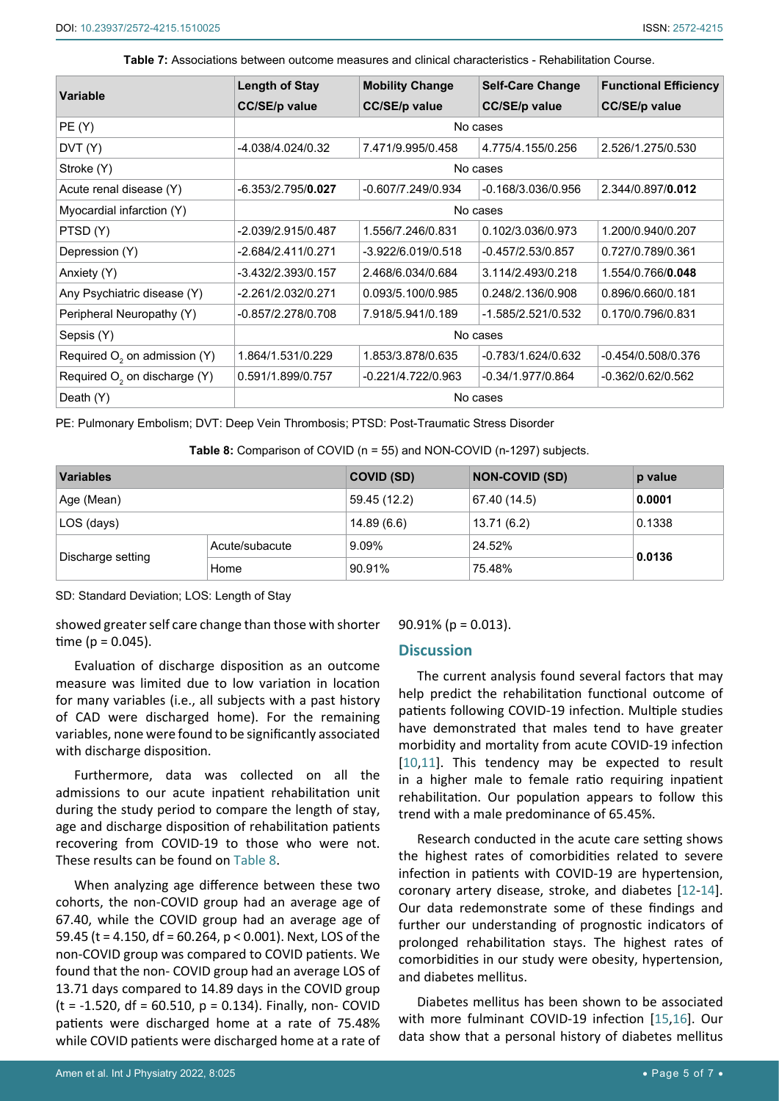| Variable                                 | <b>Length of Stay</b> | <b>Mobility Change</b> | <b>Self-Care Change</b> | <b>Functional Efficiency</b> |  |  |
|------------------------------------------|-----------------------|------------------------|-------------------------|------------------------------|--|--|
|                                          | <b>CC/SE/p value</b>  | <b>CC/SE/p value</b>   | <b>CC/SE/p value</b>    | <b>CC/SE/p value</b>         |  |  |
| PE(Y)                                    |                       | No cases               |                         |                              |  |  |
| DVT(Y)                                   | -4.038/4.024/0.32     | 7.471/9.995/0.458      | 4.775/4.155/0.256       | 2.526/1.275/0.530            |  |  |
| Stroke (Y)                               |                       | No cases               |                         |                              |  |  |
| Acute renal disease (Y)                  | $-6.353/2.795/0.027$  | -0.607/7.249/0.934     | $-0.168/3.036/0.956$    | 2.344/0.897/0.012            |  |  |
| Myocardial infarction (Y)                | No cases              |                        |                         |                              |  |  |
| PTSD(Y)                                  | -2.039/2.915/0.487    | 1.556/7.246/0.831      | 0.102/3.036/0.973       | 1.200/0.940/0.207            |  |  |
| Depression (Y)                           | -2.684/2.411/0.271    | -3.922/6.019/0.518     | $-0.457/2.53/0.857$     | 0.727/0.789/0.361            |  |  |
| Anxiety (Y)                              | -3.432/2.393/0.157    | 2.468/6.034/0.684      | 3.114/2.493/0.218       | 1.554/0.766/0.048            |  |  |
| Any Psychiatric disease (Y)              | -2.261/2.032/0.271    | 0.093/5.100/0.985      | 0.248/2.136/0.908       | 0.896/0.660/0.181            |  |  |
| Peripheral Neuropathy (Y)                | -0.857/2.278/0.708    | 7.918/5.941/0.189      | -1.585/2.521/0.532      | 0.170/0.796/0.831            |  |  |
| Sepsis (Y)                               | No cases              |                        |                         |                              |  |  |
| Required O <sub>2</sub> on admission (Y) | 1.864/1.531/0.229     | 1.853/3.878/0.635      | $-0.783/1.624/0.632$    | $-0.454/0.508/0.376$         |  |  |
| Required O <sub>2</sub> on discharge (Y) | 0.591/1.899/0.757     | -0.221/4.722/0.963     | $-0.34/1.977/0.864$     | -0.362/0.62/0.562            |  |  |
| Death (Y)                                | No cases              |                        |                         |                              |  |  |

<span id="page-4-0"></span>**Table 7:** Associations between outcome measures and clinical characteristics - Rehabilitation Course.

PE: Pulmonary Embolism; DVT: Deep Vein Thrombosis; PTSD: Post-Traumatic Stress Disorder

<span id="page-4-1"></span>**Table 8:** Comparison of COVID (n = 55) and NON-COVID (n-1297) subjects.

| <b>Variables</b>  |                | COVID (SD)   | <b>NON-COVID (SD)</b> | p value |  |
|-------------------|----------------|--------------|-----------------------|---------|--|
| Age (Mean)        |                | 59.45 (12.2) | 67.40 (14.5)          | 0.0001  |  |
| LOS (days)        |                | 14.89(6.6)   | 13.71 (6.2)           | 0.1338  |  |
|                   | Acute/subacute | 9.09%        | 24.52%                | 0.0136  |  |
| Discharge setting | Home           | 90.91%       | 75.48%                |         |  |

SD: Standard Deviation; LOS: Length of Stay

showed greater self care change than those with shorter time ( $p = 0.045$ ).

Evaluation of discharge disposition as an outcome measure was limited due to low variation in location for many variables (i.e., all subjects with a past history of CAD were discharged home). For the remaining variables, none were found to be significantly associated with discharge disposition.

Furthermore, data was collected on all the admissions to our acute inpatient rehabilitation unit during the study period to compare the length of stay, age and discharge disposition of rehabilitation patients recovering from COVID-19 to those who were not. These results can be found on [Table 8](#page-4-1).

When analyzing age difference between these two cohorts, the non-COVID group had an average age of 67.40, while the COVID group had an average age of 59.45 (t = 4.150, df = 60.264, p < 0.001). Next, LOS of the non-COVID group was compared to COVID patients. We found that the non- COVID group had an average LOS of 13.71 days compared to 14.89 days in the COVID group  $(t = -1.520, df = 60.510, p = 0.134)$ . Finally, non- COVID patients were discharged home at a rate of 75.48% while COVID patients were discharged home at a rate of

#### 90.91% (p = 0.013).

#### **Discussion**

The current analysis found several factors that may help predict the rehabilitation functional outcome of patients following COVID-19 infection. Multiple studies have demonstrated that males tend to have greater morbidity and mortality from acute COVID-19 infection [[10](#page-6-8)[,11](#page-6-9)]. This tendency may be expected to result in a higher male to female ratio requiring inpatient rehabilitation. Our population appears to follow this trend with a male predominance of 65.45%.

Research conducted in the acute care setting shows the highest rates of comorbidities related to severe infection in patients with COVID-19 are hypertension, coronary artery disease, stroke, and diabetes [[12](#page-6-10)-[14](#page-6-11)]. Our data redemonstrate some of these findings and further our understanding of prognostic indicators of prolonged rehabilitation stays. The highest rates of comorbidities in our study were obesity, hypertension, and diabetes mellitus.

Diabetes mellitus has been shown to be associated with more fulminant COVID-19 infection [\[15](#page-6-12)[,16](#page-6-13)]. Our data show that a personal history of diabetes mellitus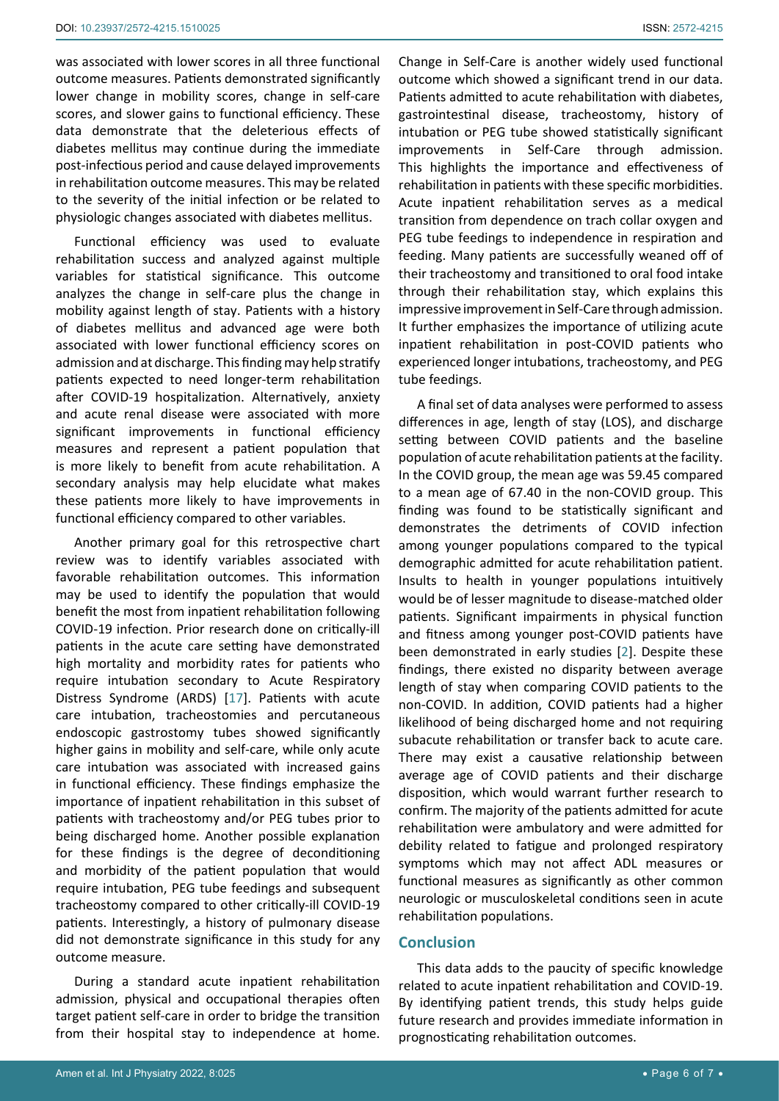was associated with lower scores in all three functional outcome measures. Patients demonstrated significantly lower change in mobility scores, change in self-care scores, and slower gains to functional efficiency. These data demonstrate that the deleterious effects of diabetes mellitus may continue during the immediate post-infectious period and cause delayed improvements in rehabilitation outcome measures. This may be related to the severity of the initial infection or be related to physiologic changes associated with diabetes mellitus.

Functional efficiency was used to evaluate rehabilitation success and analyzed against multiple variables for statistical significance. This outcome analyzes the change in self-care plus the change in mobility against length of stay. Patients with a history of diabetes mellitus and advanced age were both associated with lower functional efficiency scores on admission and at discharge. This finding may help stratify patients expected to need longer-term rehabilitation after COVID-19 hospitalization. Alternatively, anxiety and acute renal disease were associated with more significant improvements in functional efficiency measures and represent a patient population that is more likely to benefit from acute rehabilitation. A secondary analysis may help elucidate what makes these patients more likely to have improvements in functional efficiency compared to other variables.

Another primary goal for this retrospective chart review was to identify variables associated with favorable rehabilitation outcomes. This information may be used to identify the population that would benefit the most from inpatient rehabilitation following COVID-19 infection. Prior research done on critically-ill patients in the acute care setting have demonstrated high mortality and morbidity rates for patients who require intubation secondary to Acute Respiratory Distress Syndrome (ARDS) [[17\]](#page-6-14). Patients with acute care intubation, tracheostomies and percutaneous endoscopic gastrostomy tubes showed significantly higher gains in mobility and self-care, while only acute care intubation was associated with increased gains in functional efficiency. These findings emphasize the importance of inpatient rehabilitation in this subset of patients with tracheostomy and/or PEG tubes prior to being discharged home. Another possible explanation for these findings is the degree of deconditioning and morbidity of the patient population that would require intubation, PEG tube feedings and subsequent tracheostomy compared to other critically-ill COVID-19 patients. Interestingly, a history of pulmonary disease did not demonstrate significance in this study for any outcome measure.

During a standard acute inpatient rehabilitation admission, physical and occupational therapies often target patient self-care in order to bridge the transition from their hospital stay to independence at home.

Change in Self-Care is another widely used functional outcome which showed a significant trend in our data. Patients admitted to acute rehabilitation with diabetes, gastrointestinal disease, tracheostomy, history of intubation or PEG tube showed statistically significant improvements in Self-Care through admission. This highlights the importance and effectiveness of rehabilitation in patients with these specific morbidities. Acute inpatient rehabilitation serves as a medical transition from dependence on trach collar oxygen and PEG tube feedings to independence in respiration and feeding. Many patients are successfully weaned off of their tracheostomy and transitioned to oral food intake through their rehabilitation stay, which explains this impressive improvement in Self-Care through admission. It further emphasizes the importance of utilizing acute inpatient rehabilitation in post-COVID patients who experienced longer intubations, tracheostomy, and PEG tube feedings.

A final set of data analyses were performed to assess differences in age, length of stay (LOS), and discharge setting between COVID patients and the baseline population of acute rehabilitation patients at the facility. In the COVID group, the mean age was 59.45 compared to a mean age of 67.40 in the non-COVID group. This finding was found to be statistically significant and demonstrates the detriments of COVID infection among younger populations compared to the typical demographic admitted for acute rehabilitation patient. Insults to health in younger populations intuitively would be of lesser magnitude to disease-matched older patients. Significant impairments in physical function and fitness among younger post-COVID patients have been demonstrated in early studies [[2\]](#page-6-1). Despite these findings, there existed no disparity between average length of stay when comparing COVID patients to the non-COVID. In addition, COVID patients had a higher likelihood of being discharged home and not requiring subacute rehabilitation or transfer back to acute care. There may exist a causative relationship between average age of COVID patients and their discharge disposition, which would warrant further research to confirm. The majority of the patients admitted for acute rehabilitation were ambulatory and were admitted for debility related to fatigue and prolonged respiratory symptoms which may not affect ADL measures or functional measures as significantly as other common neurologic or musculoskeletal conditions seen in acute rehabilitation populations.

#### **Conclusion**

This data adds to the paucity of specific knowledge related to acute inpatient rehabilitation and COVID-19. By identifying patient trends, this study helps guide future research and provides immediate information in prognosticating rehabilitation outcomes.